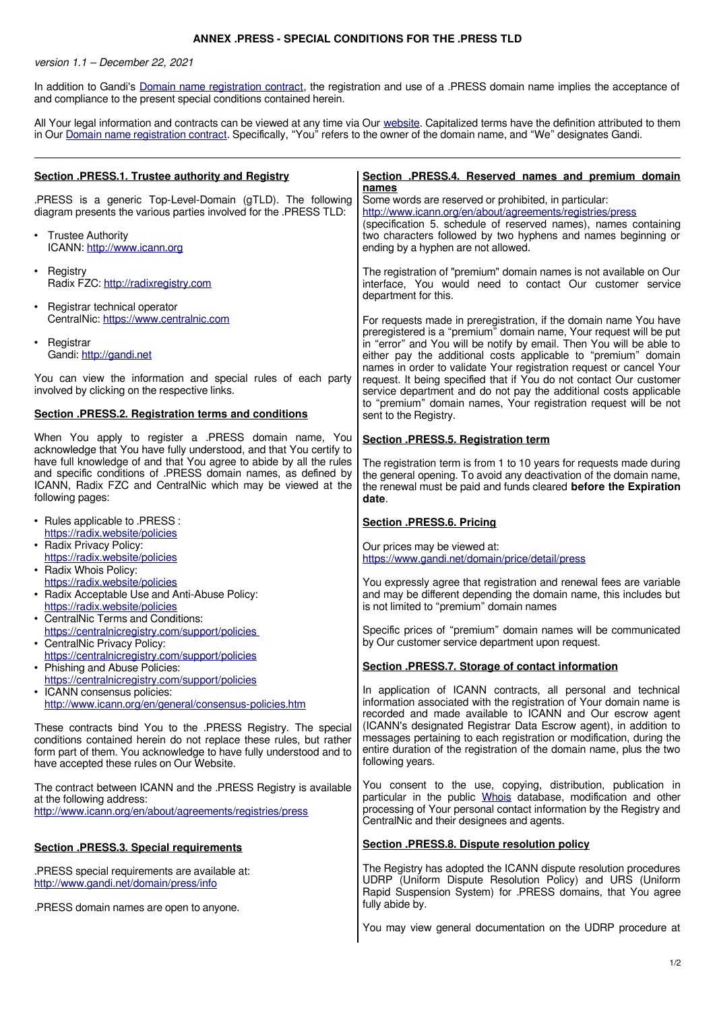## **ANNEX .PRESS - SPECIAL CONDITIONS FOR THE .PRESS TLD**

version 1.1 – December 22, 2021

In addition to Gandi's [Domain name registration contract,](https://www.gandi.net/en/contracts/terms-of-service) the registration and use of a .PRESS domain name implies the acceptance of and compliance to the present special conditions contained herein.

All Your legal information and contracts can be viewed at any time via Our [website.](http://www.gandi.net/) Capitalized terms have the definition attributed to them in Our [Domain name registration contract.](https://www.gandi.net/en/contracts/terms-of-service) Specifically, "You" refers to the owner of the domain name, and "We" designates Gandi.

| Section .PRESS.1. Trustee authority and Registry                                                                                                                                                                                                      | Section .PRESS.4. Reserved names and premium domain<br>names                                                                                                                                                                                                                                                                                                                                                                                                                                        |
|-------------------------------------------------------------------------------------------------------------------------------------------------------------------------------------------------------------------------------------------------------|-----------------------------------------------------------------------------------------------------------------------------------------------------------------------------------------------------------------------------------------------------------------------------------------------------------------------------------------------------------------------------------------------------------------------------------------------------------------------------------------------------|
| .PRESS is a generic Top-Level-Domain (gTLD). The following<br>diagram presents the various parties involved for the .PRESS TLD:                                                                                                                       | Some words are reserved or prohibited, in particular:<br>http://www.icann.org/en/about/agreements/registries/press<br>(specification 5. schedule of reserved names), names containing                                                                                                                                                                                                                                                                                                               |
| • Trustee Authority<br>ICANN: http://www.icann.org                                                                                                                                                                                                    | two characters followed by two hyphens and names beginning or<br>ending by a hyphen are not allowed.                                                                                                                                                                                                                                                                                                                                                                                                |
| • Registry<br>Radix FZC: http://radixregistry.com                                                                                                                                                                                                     | The registration of "premium" domain names is not available on Our<br>interface, You would need to contact Our customer service<br>department for this.                                                                                                                                                                                                                                                                                                                                             |
| • Registrar technical operator<br>CentralNic: https://www.centralnic.com                                                                                                                                                                              | For requests made in preregistration, if the domain name You have                                                                                                                                                                                                                                                                                                                                                                                                                                   |
| • Registrar<br>Gandi: http://gandi.net                                                                                                                                                                                                                | preregistered is a "premium" domain name, Your request will be put<br>in "error" and You will be notify by email. Then You will be able to<br>either pay the additional costs applicable to "premium" domain<br>names in order to validate Your registration request or cancel Your<br>request. It being specified that if You do not contact Our customer<br>service department and do not pay the additional costs applicable<br>to "premium" domain names, Your registration request will be not |
| You can view the information and special rules of each party<br>involved by clicking on the respective links.                                                                                                                                         |                                                                                                                                                                                                                                                                                                                                                                                                                                                                                                     |
| <b>Section .PRESS.2. Registration terms and conditions</b>                                                                                                                                                                                            | sent to the Registry.                                                                                                                                                                                                                                                                                                                                                                                                                                                                               |
| When You apply to register a .PRESS domain name, You<br>acknowledge that You have fully understood, and that You certify to                                                                                                                           | Section .PRESS.5. Registration term                                                                                                                                                                                                                                                                                                                                                                                                                                                                 |
| have full knowledge of and that You agree to abide by all the rules<br>and specific conditions of .PRESS domain names, as defined by<br>ICANN, Radix FZC and CentralNic which may be viewed at the<br>following pages:                                | The registration term is from 1 to 10 years for requests made during<br>the general opening. To avoid any deactivation of the domain name,<br>the renewal must be paid and funds cleared before the Expiration<br>date.                                                                                                                                                                                                                                                                             |
| • Rules applicable to .PRESS :<br>https://radix.website/policies                                                                                                                                                                                      | Section .PRESS.6. Pricing                                                                                                                                                                                                                                                                                                                                                                                                                                                                           |
| • Radix Privacy Policy:<br>https://radix.website/policies<br>• Radix Whois Policy:                                                                                                                                                                    | Our prices may be viewed at:<br>https://www.gandi.net/domain/price/detail/press                                                                                                                                                                                                                                                                                                                                                                                                                     |
| https://radix.website/policies<br>• Radix Acceptable Use and Anti-Abuse Policy:<br>https://radix.website/policies<br>• CentralNic Terms and Conditions:                                                                                               | You expressly agree that registration and renewal fees are variable<br>and may be different depending the domain name, this includes but<br>is not limited to "premium" domain names                                                                                                                                                                                                                                                                                                                |
| https://centralnicregistry.com/support/policies<br>• CentralNic Privacy Policy:<br>https://centralnicregistry.com/support/policies                                                                                                                    | Specific prices of "premium" domain names will be communicated<br>by Our customer service department upon request.                                                                                                                                                                                                                                                                                                                                                                                  |
| • Phishing and Abuse Policies:<br>https://centralnicregistry.com/support/policies                                                                                                                                                                     | Section .PRESS.7. Storage of contact information                                                                                                                                                                                                                                                                                                                                                                                                                                                    |
| • ICANN consensus policies:<br>http://www.icann.org/en/general/consensus-policies.htm                                                                                                                                                                 | In application of ICANN contracts, all personal and technical<br>information associated with the registration of Your domain name is<br>recorded and made available to ICANN and Our escrow agent                                                                                                                                                                                                                                                                                                   |
| These contracts bind You to the .PRESS Registry. The special<br>conditions contained herein do not replace these rules, but rather<br>form part of them. You acknowledge to have fully understood and to<br>have accepted these rules on Our Website. | (ICANN's designated Registrar Data Escrow agent), in addition to<br>messages pertaining to each registration or modification, during the<br>entire duration of the registration of the domain name, plus the two<br>following years.                                                                                                                                                                                                                                                                |
| The contract between ICANN and the .PRESS Registry is available<br>at the following address:<br>http://www.icann.org/en/about/agreements/registries/press                                                                                             | You consent to the use, copying, distribution, publication in<br>particular in the public Whois database, modification and other<br>processing of Your personal contact information by the Registry and<br>CentralNic and their designees and agents.                                                                                                                                                                                                                                               |
| <b>Section .PRESS.3. Special requirements</b>                                                                                                                                                                                                         | Section .PRESS.8. Dispute resolution policy                                                                                                                                                                                                                                                                                                                                                                                                                                                         |
| .PRESS special requirements are available at:<br>http://www.gandi.net/domain/press/info                                                                                                                                                               | The Registry has adopted the ICANN dispute resolution procedures<br>UDRP (Uniform Dispute Resolution Policy) and URS (Uniform<br>Rapid Suspension System) for .PRESS domains, that You agree<br>fully abide by.                                                                                                                                                                                                                                                                                     |
| .PRESS domain names are open to anyone.                                                                                                                                                                                                               | You may view general documentation on the UDRP procedure at                                                                                                                                                                                                                                                                                                                                                                                                                                         |